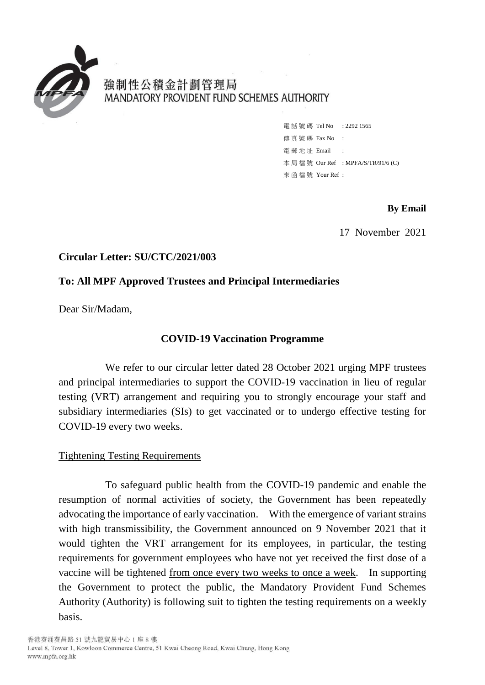

強制性公積金計劃管理局 MANDATORY PROVIDENT FUND SCHEMES AUTHORITY

> 電話號碼 Tel No : 2292 1565 傳 直 號 碼 Fax No : 電 郵 地 址 Email : 本 局 檔 號 Our Ref : MPFA/S/TR/91/6 (C) 來 函 檔 號 Your Ref :

> > **By Email**

17 November 2021

## **Circular Letter: SU/CTC/2021/003**

# **To: All MPF Approved Trustees and Principal Intermediaries**

Dear Sir/Madam,

# **COVID-19 Vaccination Programme**

We refer to our circular letter dated 28 October 2021 urging MPF trustees and principal intermediaries to support the COVID-19 vaccination in lieu of regular testing (VRT) arrangement and requiring you to strongly encourage your staff and subsidiary intermediaries (SIs) to get vaccinated or to undergo effective testing for COVID-19 every two weeks.

## Tightening Testing Requirements

To safeguard public health from the COVID-19 pandemic and enable the resumption of normal activities of society, the Government has been repeatedly advocating the importance of early vaccination. With the emergence of variant strains with high transmissibility, the Government announced on 9 November 2021 that it would tighten the VRT arrangement for its employees, in particular, the testing requirements for government employees who have not yet received the first dose of a vaccine will be tightened from once every two weeks to once a week. In supporting the Government to protect the public, the Mandatory Provident Fund Schemes Authority (Authority) is following suit to tighten the testing requirements on a weekly basis.